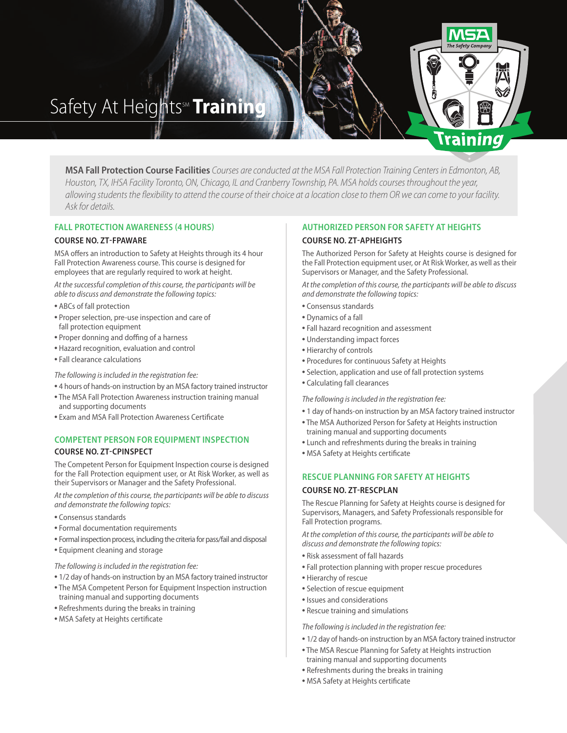# Safety At Heights<sup>M</sup> Training

**MSA Fall Protection Course Facilities** Courses areconducted at theMSA Fall Protection Training Centers in Edmonton, AB, Houston, TX, IHSA Facility Toronto, ON, Chicago, IL and Cranberry Township, PA. MSA holds courses throughout the year, allowing students the flexibility to attend the course of their choice at a location close to them OR we can come to your facility. Ask for details.

## **FALL PROTECTION AWARENESS (4 HOURS)**

## **COURSE NO. ZT-FPAWARE**

MSA offers an introduction to Safety at Heights through its 4 hour Fall Protection Awareness course. This course is designed for employees that are regularly required to work at height.

*At the successfulcompletion of thiscourse, the participants will be able to discuss and demonstrate the following topics:*

- **•** ABCs of fall protection
- **•** Proper selection, pre-use inspection and care of fall protection equipment
- **•** Proper donning and doffing of a harness
- **•** Hazard recognition, evaluation and control
- **•** Fall clearance calculations

#### *The following isincluded in the registration fee:*

- **•** 4 hours of hands-on instruction by an MSA factory trained instructor
- **•** The MSA Fall Protection Awareness instruction training manual and supporting documents
- **•** Exam and MSA Fall Protection Awareness Certificate

# **COMPETENT PERSON FOR EQUIPMENT INSPECTION**

## **COURSE NO. ZT-CPINSPECT**

The Competent Person for Equipment Inspection course is designed for the Fall Protection equipment user, or At Risk Worker, as well as their Supervisors or Manager and the Safety Professional.

*At the completion of thiscourse, the participants will be able to discuss and demonstrate the following topics:*

- **•** Consensus standards
- **•** Formal documentation requirements
- Formal inspection process, including the criteria for pass/fail and disposal
- **•** Equipment cleaning and storage

### *The following isincluded in the registration fee:*

- **•** 1/2 day of hands-on instruction by an MSA factory trained instructor
- **•** The MSA Competent Person for Equipment Inspection instruction training manual and supporting documents
- **•** Refreshments during the breaks in training
- **•** MSA Safety at Heights certificate

# **AUTHORIZED PERSON FOR SAFETY AT HEIGHTS**

# **COURSE NO. ZT-APHEIGHTS**

The Authorized Person for Safety at Heights course is designed for the Fall Protection equipment user, or At Risk Worker, as well as their Supervisors or Manager, and the Safety Professional.

**Training** 

*At the completion of thiscourse, the participants will be able to discuss and demonstrate the following topics:*

- **•** Consensus standards
- **•** Dynamics of a fall
- **•** Fall hazard recognition and assessment
- **•** Understanding impact forces
- **•** Hierarchy of controls
- **•** Procedures for continuous Safety at Heights
- **•** Selection, application and use of fall protection systems
- **•** Calculating fall clearances

*The following isincluded in the registration fee:*

- **•** 1 day of hands-on instruction by an MSA factory trained instructor
- **•** The MSA Authorized Person for Safety at Heights instruction
- training manual and supporting documents
- **•** Lunch and refreshments during the breaks in training
- **•** MSA Safety at Heights certificate

#### **RESCUE PLANNING FOR SAFETY AT HEIGHTS**

#### **COURSE NO. ZT-RESCPLAN**

The Rescue Planning for Safety at Heights course is designed for Supervisors, Managers, and Safety Professionals responsible for Fall Protection programs.

*At the completion of thiscourse, the participants will be able to discuss and demonstrate the following topics:*

- **•** Risk assessment of fall hazards
- **•** Fall protection planning with proper rescue procedures
- **•** Hierarchy of rescue
- **•** Selection of rescue equipment
- **•** Issues and considerations
- **•** Rescue training and simulations

*The following isincluded in the registration fee:*

- **•** 1/2 day of hands-on instruction by an MSA factory trained instructor
- **•** The MSA Rescue Planning for Safety at Heights instruction training manual and supporting documents
- **•** Refreshments during the breaks in training
- **•** MSA Safety at Heights certificate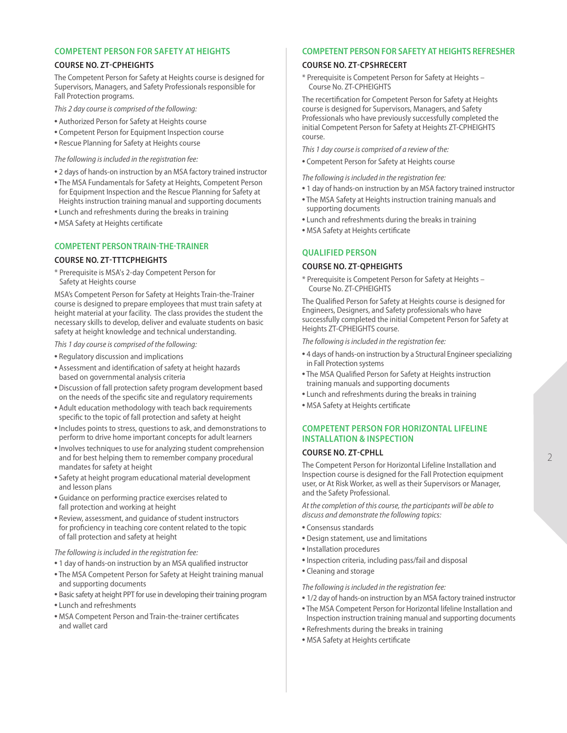## **COMPETENT PERSON FOR SAFETY AT HEIGHTS**

### **COURSE NO. ZT-CPHEIGHTS**

The Competent Person for Safety at Heights course is designed for Supervisors, Managers, and Safety Professionals responsible for Fall Protection programs.

*This 2 day course iscomprised of the following:*

- **•** Authorized Person for Safety at Heights course
- **•** Competent Person for Equipment Inspection course
- **•** Rescue Planning for Safety at Heights course

*The following isincluded in the registration fee:*

- **•** 2 days of hands-on instruction by an MSA factory trained instructor
- **•** The MSA Fundamentals for Safety at Heights, Competent Person for Equipment Inspection and the Rescue Planning for Safety at Heights instruction training manual and supporting documents
- **•** Lunch and refreshments during the breaks in training
- **•** MSA Safety at Heights certificate

# **COMPETENT PERSONTRAIN-THE-TRAINER**

## **COURSE NO. ZT-TTTCPHEIGHTS**

\* Prerequisite is MSA's 2-day Competent Person for Safety at Heights course

MSA's Competent Person for Safety at Heights Train-the-Trainer course is designed to prepare employees that must train safety at height material at your facility. The class provides the student the necessary skills to develop, deliver and evaluate students on basic safety at height knowledge and technical understanding.

*This 1 day course iscomprised of the following:*

- **•** Regulatory discussion and implications
- **•** Assessment and identification of safety at height hazards based on governmental analysis criteria
- **•** Discussion of fall protection safety program development based on the needs of the specific site and regulatory requirements
- **•** Adult education methodology with teach back requirements specific to the topic of fall protection and safety at height
- **•** Includes points to stress, questions to ask, and demonstrations to perform to drive home important concepts for adult learners
- **•** Involves techniques to use for analyzing student comprehension and for best helping them to remember company procedural mandates for safety at height
- **•** Safety at height program educational material development and lesson plans
- **•** Guidance on performing practice exercises related to fall protection and working at height
- **•** Review, assessment, and guidance of student instructors for proficiency in teaching core content related to the topic of fall protection and safety at height

### *The following isincluded in the registration fee:*

- **•** 1 day of hands-on instruction by an MSA qualified instructor
- **•** The MSA Competent Person for Safety at Height training manual and supporting documents
- Basic safety at height PPT for use in developing their training program
- **•** Lunch and refreshments
- **•** MSA Competent Person and Train-the-trainer certificates and wallet card

## **COMPETENT PERSON FOR SAFETY AT HEIGHTS REFRESHER**

#### **COURSE NO. ZT-CPSHRECERT**

\* Prerequisite is Competent Person for Safety at Heights – Course No. ZT-CPHEIGHTS

The recertification for Competent Person for Safety at Heights course is designed for Supervisors, Managers, and Safety Professionals who have previously successfully completed the initial Competent Person for Safety at Heights ZT-CPHEIGHTS course.

*This 1 day course iscomprised of a review of the:*

**•** Competent Person for Safety at Heights course

*The following isincluded in the registration fee:*

- **•** 1 day of hands-on instruction by an MSA factory trained instructor
- **•** The MSA Safety at Heights instruction training manuals and supporting documents
- **•** Lunch and refreshments during the breaks in training
- **•** MSA Safety at Heights certificate

## **QUALIFIED PERSON**

### **COURSE NO. ZT-QPHEIGHTS**

\* Prerequisite is Competent Person for Safety at Heights – Course No. ZT-CPHEIGHTS

The Qualified Person for Safety at Heights course is designed for Engineers, Designers, and Safety professionals who have successfully completed the initial Competent Person for Safety at Heights ZT-CPHEIGHTS course.

*The following isincluded in the registration fee:*

- 4 days of hands-on instruction by a Structural Engineer specializing in Fall Protection systems
- **•** The MSA Qualified Person for Safety at Heights instruction training manuals and supporting documents
- **•** Lunch and refreshments during the breaks in training
- **•** MSA Safety at Heights certificate

# **COMPETENT PERSON FOR HORIZONTAL LIFELINE INSTALLATION & INSPECTION**

## **COURSE NO. ZT-CPHLL**

The Competent Person for Horizontal Lifeline Installation and Inspection course is designed for the Fall Protection equipment user, or At Risk Worker, as well as their Supervisors or Manager, and the Safety Professional.

*At the completion of thiscourse, the participants will be able to discuss and demonstrate the following topics:*

- **•** Consensus standards
- **•** Design statement, use and limitations
- **•** Installation procedures
- **•** Inspection criteria, including pass/fail and disposal
- **•** Cleaning and storage

*The following isincluded in the registration fee:*

- **•** 1/2 day of hands-on instruction by an MSA factory trained instructor
- **•** The MSA Competent Person for Horizontal lifeline Installation and Inspection instruction training manual and supporting documents
- **•** Refreshments during the breaks in training
- **•** MSA Safety at Heights certificate